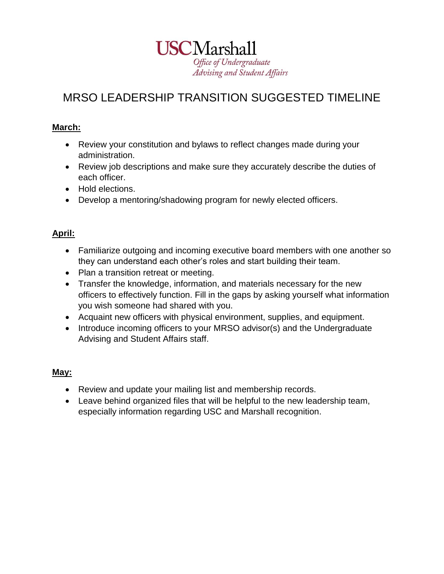

# MRSO LEADERSHIP TRANSITION SUGGESTED TIMELINE

#### **March:**

- Review your constitution and bylaws to reflect changes made during your administration.
- Review job descriptions and make sure they accurately describe the duties of each officer.
- Hold elections.
- Develop a mentoring/shadowing program for newly elected officers.

### **April:**

- Familiarize outgoing and incoming executive board members with one another so they can understand each other's roles and start building their team.
- Plan a transition retreat or meeting.
- Transfer the knowledge, information, and materials necessary for the new officers to effectively function. Fill in the gaps by asking yourself what information you wish someone had shared with you.
- Acquaint new officers with physical environment, supplies, and equipment.
- Introduce incoming officers to your MRSO advisor(s) and the Undergraduate Advising and Student Affairs staff.

### **May:**

- Review and update your mailing list and membership records.
- Leave behind organized files that will be helpful to the new leadership team, especially information regarding USC and Marshall recognition.